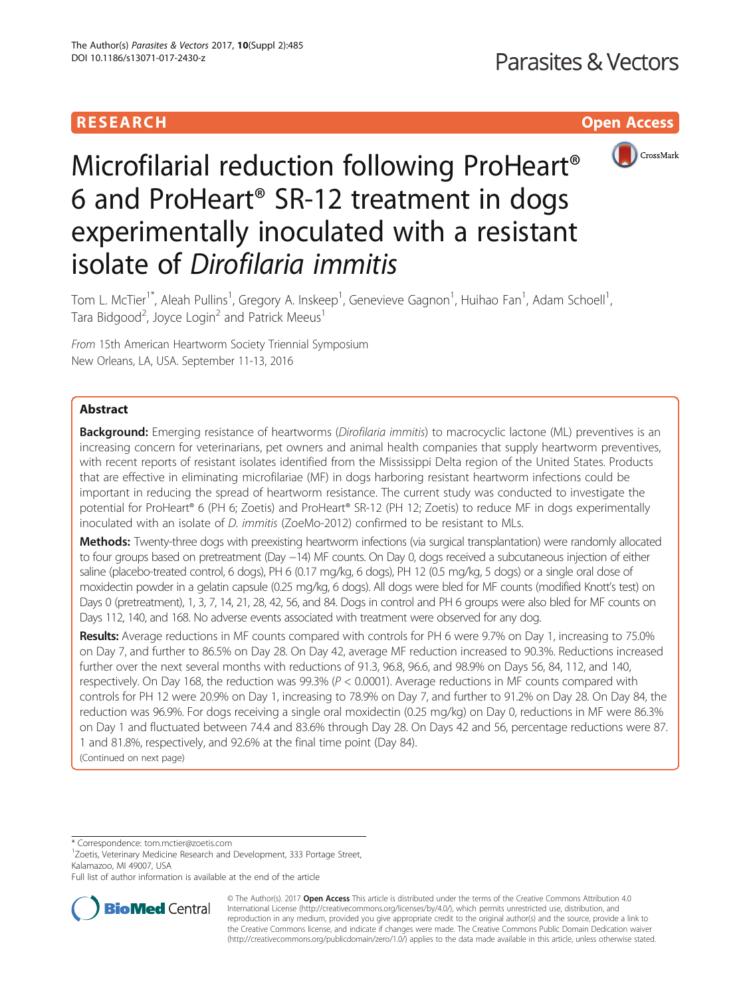# **RESEARCH CHILD CONTROL** CONTROL CONTROL CONTROL CONTROL CONTROL CONTROL CONTROL CONTROL CONTROL CONTROL CONTROL



# Microfilarial reduction following ProHeart® 6 and ProHeart® SR-12 treatment in dogs experimentally inoculated with a resistant isolate of Dirofilaria immitis

Tom L. McTier<sup>1\*</sup>, Aleah Pullins<sup>1</sup>, Gregory A. Inskeep<sup>1</sup>, Genevieve Gagnon<sup>1</sup>, Huihao Fan<sup>1</sup>, Adam Schoell<sup>1</sup> , Tara Bidgood<sup>2</sup>, Joyce Login<sup>2</sup> and Patrick Meeus<sup>1</sup>

From 15th American Heartworm Society Triennial Symposium New Orleans, LA, USA. September 11-13, 2016

# Abstract

Background: Emerging resistance of heartworms (Dirofilaria immitis) to macrocyclic lactone (ML) preventives is an increasing concern for veterinarians, pet owners and animal health companies that supply heartworm preventives, with recent reports of resistant isolates identified from the Mississippi Delta region of the United States. Products that are effective in eliminating microfilariae (MF) in dogs harboring resistant heartworm infections could be important in reducing the spread of heartworm resistance. The current study was conducted to investigate the potential for ProHeart® 6 (PH 6; Zoetis) and ProHeart® SR-12 (PH 12; Zoetis) to reduce MF in dogs experimentally inoculated with an isolate of D. immitis (ZoeMo-2012) confirmed to be resistant to MLs.

Methods: Twenty-three dogs with preexisting heartworm infections (via surgical transplantation) were randomly allocated to four groups based on pretreatment (Day −14) MF counts. On Day 0, dogs received a subcutaneous injection of either saline (placebo-treated control, 6 dogs), PH 6 (0.17 mg/kg, 6 dogs), PH 12 (0.5 mg/kg, 5 dogs) or a single oral dose of moxidectin powder in a gelatin capsule (0.25 mg/kg, 6 dogs). All dogs were bled for MF counts (modified Knott's test) on Days 0 (pretreatment), 1, 3, 7, 14, 21, 28, 42, 56, and 84. Dogs in control and PH 6 groups were also bled for MF counts on Days 112, 140, and 168. No adverse events associated with treatment were observed for any dog.

Results: Average reductions in MF counts compared with controls for PH 6 were 9.7% on Day 1, increasing to 75.0% on Day 7, and further to 86.5% on Day 28. On Day 42, average MF reduction increased to 90.3%. Reductions increased further over the next several months with reductions of 91.3, 96.8, 96.6, and 98.9% on Days 56, 84, 112, and 140, respectively. On Day 168, the reduction was 99.3% (P < 0.0001). Average reductions in MF counts compared with controls for PH 12 were 20.9% on Day 1, increasing to 78.9% on Day 7, and further to 91.2% on Day 28. On Day 84, the reduction was 96.9%. For dogs receiving a single oral moxidectin (0.25 mg/kg) on Day 0, reductions in MF were 86.3% on Day 1 and fluctuated between 74.4 and 83.6% through Day 28. On Days 42 and 56, percentage reductions were 87. 1 and 81.8%, respectively, and 92.6% at the final time point (Day 84).

(Continued on next page)

\* Correspondence: [tom.mctier@zoetis.com](mailto:tom.mctier@zoetis.com) <sup>1</sup>

<sup>1</sup>Zoetis, Veterinary Medicine Research and Development, 333 Portage Street, Kalamazoo, MI 49007, USA

Full list of author information is available at the end of the article



© The Author(s). 2017 **Open Access** This article is distributed under the terms of the Creative Commons Attribution 4.0 International License [\(http://creativecommons.org/licenses/by/4.0/](http://creativecommons.org/licenses/by/4.0/)), which permits unrestricted use, distribution, and reproduction in any medium, provided you give appropriate credit to the original author(s) and the source, provide a link to the Creative Commons license, and indicate if changes were made. The Creative Commons Public Domain Dedication waiver [\(http://creativecommons.org/publicdomain/zero/1.0/](http://creativecommons.org/publicdomain/zero/1.0/)) applies to the data made available in this article, unless otherwise stated.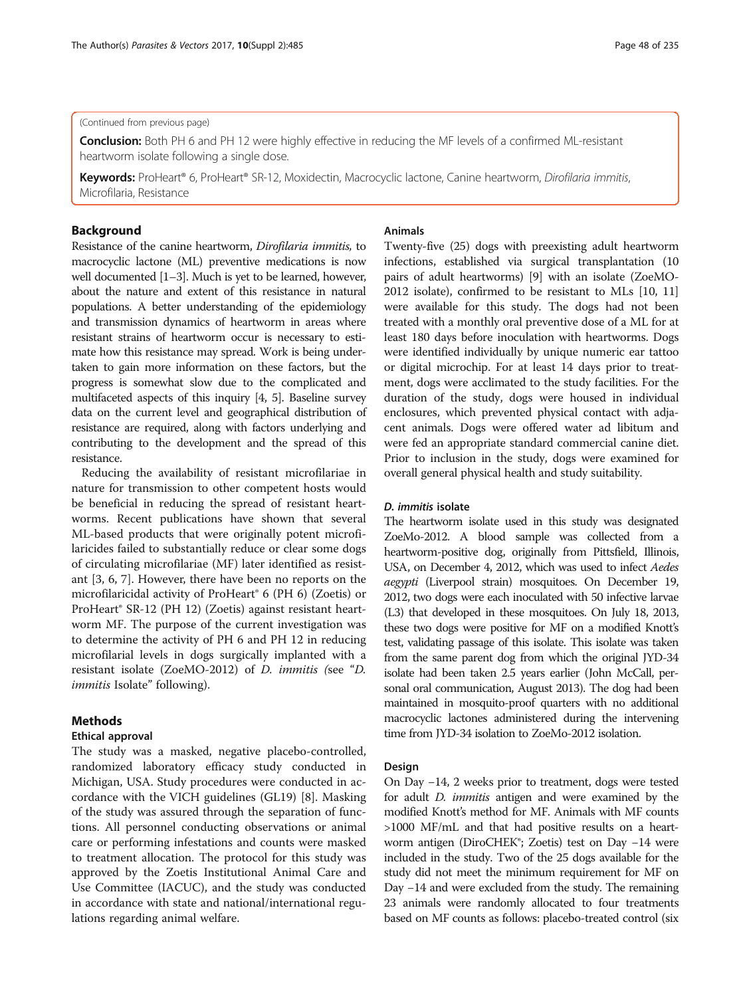## (Continued from previous page)

Conclusion: Both PH 6 and PH 12 were highly effective in reducing the MF levels of a confirmed ML-resistant heartworm isolate following a single dose.

Keywords: ProHeart® 6, ProHeart® SR-12, Moxidectin, Macrocyclic lactone, Canine heartworm, Dirofilaria immitis, Microfilaria, Resistance

## Background

Resistance of the canine heartworm, Dirofilaria immitis, to macrocyclic lactone (ML) preventive medications is now well documented [\[1](#page-5-0)–[3\]](#page-5-0). Much is yet to be learned, however, about the nature and extent of this resistance in natural populations. A better understanding of the epidemiology and transmission dynamics of heartworm in areas where resistant strains of heartworm occur is necessary to estimate how this resistance may spread. Work is being undertaken to gain more information on these factors, but the progress is somewhat slow due to the complicated and multifaceted aspects of this inquiry [\[4, 5](#page-5-0)]. Baseline survey data on the current level and geographical distribution of resistance are required, along with factors underlying and contributing to the development and the spread of this resistance.

Reducing the availability of resistant microfilariae in nature for transmission to other competent hosts would be beneficial in reducing the spread of resistant heartworms. Recent publications have shown that several ML-based products that were originally potent microfilaricides failed to substantially reduce or clear some dogs of circulating microfilariae (MF) later identified as resistant [[3, 6, 7\]](#page-5-0). However, there have been no reports on the microfilaricidal activity of ProHeart® 6 (PH 6) (Zoetis) or ProHeart® SR-12 (PH 12) (Zoetis) against resistant heartworm MF. The purpose of the current investigation was to determine the activity of PH 6 and PH 12 in reducing microfilarial levels in dogs surgically implanted with a resistant isolate (ZoeMO-2012) of D. immitis (see "D. immitis Isolate" following).

## Methods

## Ethical approval

The study was a masked, negative placebo-controlled, randomized laboratory efficacy study conducted in Michigan, USA. Study procedures were conducted in accordance with the VICH guidelines (GL19) [[8\]](#page-5-0). Masking of the study was assured through the separation of functions. All personnel conducting observations or animal care or performing infestations and counts were masked to treatment allocation. The protocol for this study was approved by the Zoetis Institutional Animal Care and Use Committee (IACUC), and the study was conducted in accordance with state and national/international regulations regarding animal welfare.

#### Animals

Twenty-five (25) dogs with preexisting adult heartworm infections, established via surgical transplantation (10 pairs of adult heartworms) [[9](#page-5-0)] with an isolate (ZoeMO-2012 isolate), confirmed to be resistant to MLs [[10](#page-5-0), [11](#page-5-0)] were available for this study. The dogs had not been treated with a monthly oral preventive dose of a ML for at least 180 days before inoculation with heartworms. Dogs were identified individually by unique numeric ear tattoo or digital microchip. For at least 14 days prior to treatment, dogs were acclimated to the study facilities. For the duration of the study, dogs were housed in individual enclosures, which prevented physical contact with adjacent animals. Dogs were offered water ad libitum and were fed an appropriate standard commercial canine diet. Prior to inclusion in the study, dogs were examined for overall general physical health and study suitability.

## D. immitis isolate

The heartworm isolate used in this study was designated ZoeMo-2012. A blood sample was collected from a heartworm-positive dog, originally from Pittsfield, Illinois, USA, on December 4, 2012, which was used to infect Aedes aegypti (Liverpool strain) mosquitoes. On December 19, 2012, two dogs were each inoculated with 50 infective larvae (L3) that developed in these mosquitoes. On July 18, 2013, these two dogs were positive for MF on a modified Knott's test, validating passage of this isolate. This isolate was taken from the same parent dog from which the original JYD-34 isolate had been taken 2.5 years earlier (John McCall, personal oral communication, August 2013). The dog had been maintained in mosquito-proof quarters with no additional macrocyclic lactones administered during the intervening time from JYD-34 isolation to ZoeMo-2012 isolation.

#### Design

On Day −14, 2 weeks prior to treatment, dogs were tested for adult D. immitis antigen and were examined by the modified Knott's method for MF. Animals with MF counts >1000 MF/mL and that had positive results on a heartworm antigen (DiroCHEK®; Zoetis) test on Day −14 were included in the study. Two of the 25 dogs available for the study did not meet the minimum requirement for MF on Day −14 and were excluded from the study. The remaining 23 animals were randomly allocated to four treatments based on MF counts as follows: placebo-treated control (six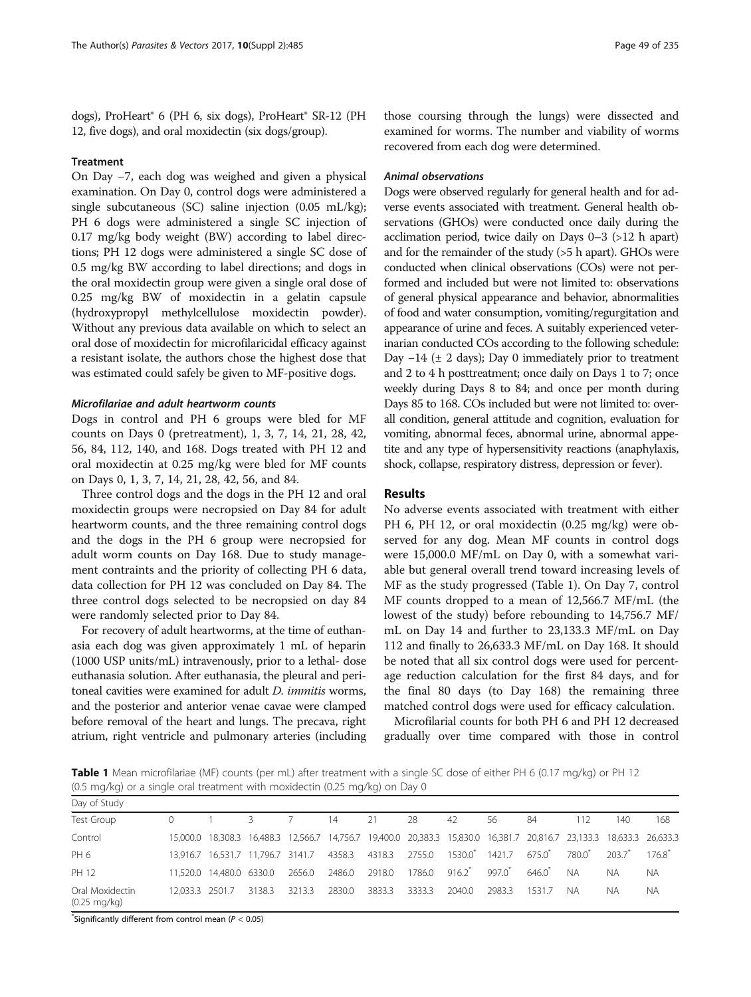<span id="page-2-0"></span>dogs), ProHeart® 6 (PH 6, six dogs), ProHeart® SR-12 (PH 12, five dogs), and oral moxidectin (six dogs/group).

## Treatment

On Day −7, each dog was weighed and given a physical examination. On Day 0, control dogs were administered a single subcutaneous (SC) saline injection (0.05 mL/kg); PH 6 dogs were administered a single SC injection of 0.17 mg/kg body weight (BW) according to label directions; PH 12 dogs were administered a single SC dose of 0.5 mg/kg BW according to label directions; and dogs in the oral moxidectin group were given a single oral dose of 0.25 mg/kg BW of moxidectin in a gelatin capsule (hydroxypropyl methylcellulose moxidectin powder). Without any previous data available on which to select an oral dose of moxidectin for microfilaricidal efficacy against a resistant isolate, the authors chose the highest dose that was estimated could safely be given to MF-positive dogs.

#### Microfilariae and adult heartworm counts

Dogs in control and PH 6 groups were bled for MF counts on Days 0 (pretreatment), 1, 3, 7, 14, 21, 28, 42, 56, 84, 112, 140, and 168. Dogs treated with PH 12 and oral moxidectin at 0.25 mg/kg were bled for MF counts on Days 0, 1, 3, 7, 14, 21, 28, 42, 56, and 84.

Three control dogs and the dogs in the PH 12 and oral moxidectin groups were necropsied on Day 84 for adult heartworm counts, and the three remaining control dogs and the dogs in the PH 6 group were necropsied for adult worm counts on Day 168. Due to study management contraints and the priority of collecting PH 6 data, data collection for PH 12 was concluded on Day 84. The three control dogs selected to be necropsied on day 84 were randomly selected prior to Day 84.

For recovery of adult heartworms, at the time of euthanasia each dog was given approximately 1 mL of heparin (1000 USP units/mL) intravenously, prior to a lethal- dose euthanasia solution. After euthanasia, the pleural and peritoneal cavities were examined for adult D. immitis worms, and the posterior and anterior venae cavae were clamped before removal of the heart and lungs. The precava, right atrium, right ventricle and pulmonary arteries (including

those coursing through the lungs) were dissected and examined for worms. The number and viability of worms recovered from each dog were determined.

## Animal observations

Dogs were observed regularly for general health and for adverse events associated with treatment. General health observations (GHOs) were conducted once daily during the acclimation period, twice daily on Days 0–3 (>12 h apart) and for the remainder of the study (>5 h apart). GHOs were conducted when clinical observations (COs) were not performed and included but were not limited to: observations of general physical appearance and behavior, abnormalities of food and water consumption, vomiting/regurgitation and appearance of urine and feces. A suitably experienced veterinarian conducted COs according to the following schedule: Day  $-14$  ( $\pm$  2 days); Day 0 immediately prior to treatment and 2 to 4 h posttreatment; once daily on Days 1 to 7; once weekly during Days 8 to 84; and once per month during Days 85 to 168. COs included but were not limited to: overall condition, general attitude and cognition, evaluation for vomiting, abnormal feces, abnormal urine, abnormal appetite and any type of hypersensitivity reactions (anaphylaxis, shock, collapse, respiratory distress, depression or fever).

## Results

No adverse events associated with treatment with either PH 6, PH 12, or oral moxidectin (0.25 mg/kg) were observed for any dog. Mean MF counts in control dogs were 15,000.0 MF/mL on Day 0, with a somewhat variable but general overall trend toward increasing levels of MF as the study progressed (Table 1). On Day 7, control MF counts dropped to a mean of 12,566.7 MF/mL (the lowest of the study) before rebounding to 14,756.7 MF/ mL on Day 14 and further to 23,133.3 MF/mL on Day 112 and finally to 26,633.3 MF/mL on Day 168. It should be noted that all six control dogs were used for percentage reduction calculation for the first 84 days, and for the final 80 days (to Day 168) the remaining three matched control dogs were used for efficacy calculation.

Microfilarial counts for both PH 6 and PH 12 decreased gradually over time compared with those in control

Table 1 Mean microfilariae (MF) counts (per mL) after treatment with a single SC dose of either PH 6 (0.17 mg/kg) or PH 12 (0.5 mg/kg) or a single oral treatment with moxidectin (0.25 mg/kg) on Day 0

| Day of Study                              |                 |                          |                                   |        |        |        |        |                   |        |                   |                                                                                                                      |                     |       |
|-------------------------------------------|-----------------|--------------------------|-----------------------------------|--------|--------|--------|--------|-------------------|--------|-------------------|----------------------------------------------------------------------------------------------------------------------|---------------------|-------|
| <b>Test Group</b>                         |                 |                          |                                   |        | 14     | 21     | 28     | 42                | 56     | 84                |                                                                                                                      | 140                 | 168   |
| Control                                   |                 |                          |                                   |        |        |        |        |                   |        |                   | 15,000.0 18,308.3 16,488.3 12,566.7 14,756.7 19,400.0 20,383.3 15,830.0 16,381.7 20,816.7 23,133.3 18,633.3 26,633.3 |                     |       |
| PH <sub>6</sub>                           |                 |                          | 13.916.7 16.531.7 11.796.7 3141.7 |        | 4358.3 | 4318.3 | 2755.0 | $1530.0^{\circ}$  | 1421.7 | 675.0             | 780 0 <sup>*</sup>                                                                                                   | $2037$ <sup>*</sup> | 176.8 |
| PH 12                                     |                 | 11.520.0 14.480.0 6330.0 |                                   | 2656.0 | 2486.0 | 2918.0 | 1786.0 | $916.2^{\degree}$ | 997.0  | $646.0^{\degree}$ | <b>NA</b>                                                                                                            | ΝA                  | NA.   |
| Oral Moxidectin<br>$(0.25 \text{ mg/kg})$ | 12.033.3 2501.7 |                          | 3138.3                            | 3213.3 | 2830.0 | 3833.3 | 3333.3 | 2040.0            | 2983.3 | 1531.7            | N.                                                                                                                   | ΝA                  | NA.   |

 $*$ Significantly different from control mean ( $P < 0.05$ )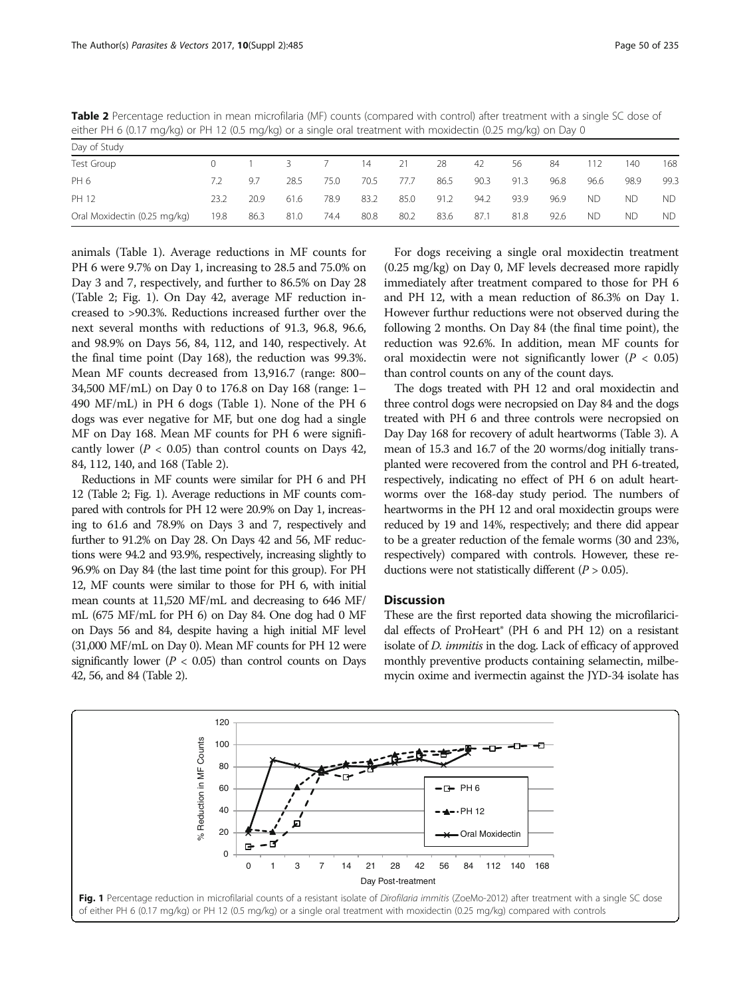Table 2 Percentage reduction in mean microfilaria (MF) counts (compared with control) after treatment with a single SC dose of either PH 6 (0.17 mg/kg) or PH 12 (0.5 mg/kg) or a single oral treatment with moxidectin (0.25 mg/kg) on Day 0

| Day of Study                 |      |      |                         |            |      |      |      |      |      |      |           |      |      |
|------------------------------|------|------|-------------------------|------------|------|------|------|------|------|------|-----------|------|------|
| Test Group                   |      |      | $\overline{\mathbf{3}}$ | $7\degree$ | 14   | 21   | 28   | 42   | 56   | 84   | 112       | 140  | 168  |
| PH <sub>6</sub>              | 72   | 9.7  | 28.5                    | 75.0       | 70.5 | 77.7 | 86.5 | 90.3 | 91.3 | 96.8 | 96.6      | 98.9 | 99.3 |
| PH 12                        | 23.2 | 20.9 | 61.6                    | 78.9       | 83.2 | 85.0 | 91.2 | 94.2 | 93.9 | 96.9 | <b>ND</b> | ND.  | ND.  |
| Oral Moxidectin (0.25 mg/kg) | 19.8 | 86.3 | 81.0                    | 74.4       | 80.8 | 80.2 | 83.6 | 87.1 | 81.8 | 92.6 | <b>ND</b> | ND.  | ND.  |

animals (Table [1\)](#page-2-0). Average reductions in MF counts for PH 6 were 9.7% on Day 1, increasing to 28.5 and 75.0% on Day 3 and 7, respectively, and further to 86.5% on Day 28 (Table 2; Fig. 1). On Day 42, average MF reduction increased to >90.3%. Reductions increased further over the next several months with reductions of 91.3, 96.8, 96.6, and 98.9% on Days 56, 84, 112, and 140, respectively. At the final time point (Day 168), the reduction was 99.3%. Mean MF counts decreased from 13,916.7 (range: 800– 34,500 MF/mL) on Day 0 to 176.8 on Day 168 (range: 1– 490 MF/mL) in PH 6 dogs (Table [1\)](#page-2-0). None of the PH 6 dogs was ever negative for MF, but one dog had a single MF on Day 168. Mean MF counts for PH 6 were significantly lower ( $P < 0.05$ ) than control counts on Days 42, 84, 112, 140, and 168 (Table 2).

Reductions in MF counts were similar for PH 6 and PH 12 (Table 2; Fig. 1). Average reductions in MF counts compared with controls for PH 12 were 20.9% on Day 1, increasing to 61.6 and 78.9% on Days 3 and 7, respectively and further to 91.2% on Day 28. On Days 42 and 56, MF reductions were 94.2 and 93.9%, respectively, increasing slightly to 96.9% on Day 84 (the last time point for this group). For PH 12, MF counts were similar to those for PH 6, with initial mean counts at 11,520 MF/mL and decreasing to 646 MF/ mL (675 MF/mL for PH 6) on Day 84. One dog had 0 MF on Days 56 and 84, despite having a high initial MF level (31,000 MF/mL on Day 0). Mean MF counts for PH 12 were significantly lower ( $P < 0.05$ ) than control counts on Days 42, 56, and 84 (Table 2).

For dogs receiving a single oral moxidectin treatment (0.25 mg/kg) on Day 0, MF levels decreased more rapidly immediately after treatment compared to those for PH 6 and PH 12, with a mean reduction of 86.3% on Day 1. However furthur reductions were not observed during the following 2 months. On Day 84 (the final time point), the reduction was 92.6%. In addition, mean MF counts for oral moxidectin were not significantly lower ( $P < 0.05$ ) than control counts on any of the count days.

The dogs treated with PH 12 and oral moxidectin and three control dogs were necropsied on Day 84 and the dogs treated with PH 6 and three controls were necropsied on Day Day 168 for recovery of adult heartworms (Table [3\)](#page-4-0). A mean of 15.3 and 16.7 of the 20 worms/dog initially transplanted were recovered from the control and PH 6-treated, respectively, indicating no effect of PH 6 on adult heartworms over the 168-day study period. The numbers of heartworms in the PH 12 and oral moxidectin groups were reduced by 19 and 14%, respectively; and there did appear to be a greater reduction of the female worms (30 and 23%, respectively) compared with controls. However, these reductions were not statistically different ( $P > 0.05$ ).

## **Discussion**

These are the first reported data showing the microfilaricidal effects of ProHeart® (PH 6 and PH 12) on a resistant isolate of D. immitis in the dog. Lack of efficacy of approved monthly preventive products containing selamectin, milbemycin oxime and ivermectin against the JYD-34 isolate has

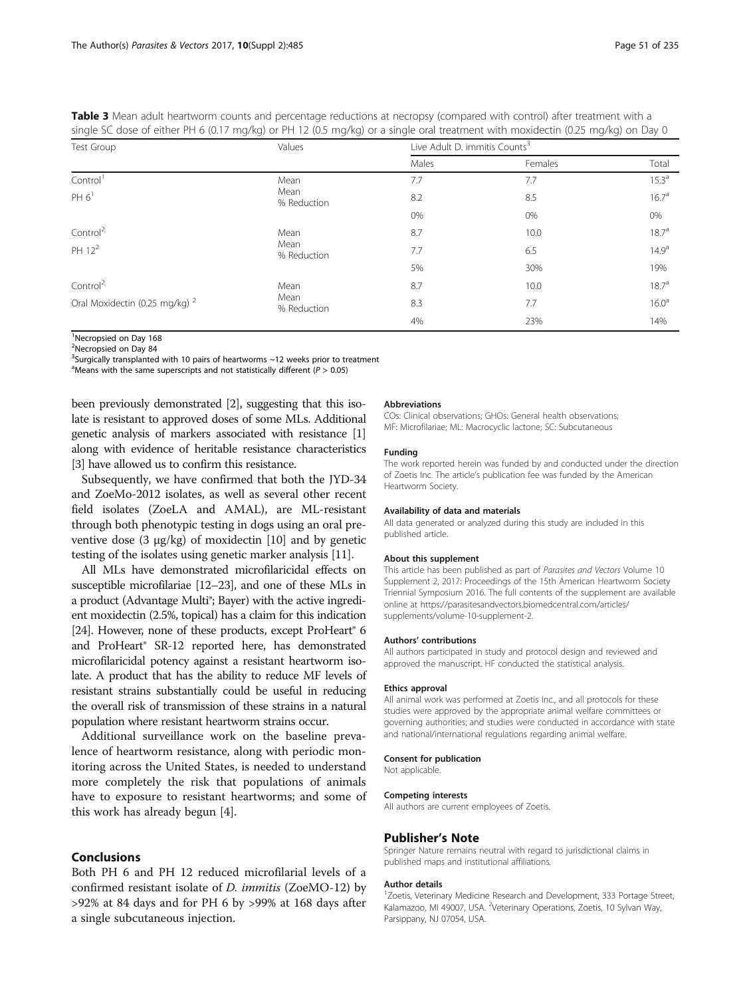<span id="page-4-0"></span>Table 3 Mean adult heartworm counts and percentage reductions at necropsy (compared with control) after treatment with a single SC dose of either PH 6 (0.17 mg/kg) or PH 12 (0.5 mg/kg) or a single oral treatment with moxidectin (0.25 mg/kg) on Day 0

| <b>Test Group</b>                         | Values              | Live Adult D. immitis Counts <sup>3</sup> |         |                   |  |  |  |
|-------------------------------------------|---------------------|-------------------------------------------|---------|-------------------|--|--|--|
|                                           |                     | Males                                     | Females | Total             |  |  |  |
| Control <sup>1</sup>                      | Mean                | 7.7                                       | 7.7     | 15.3 <sup>a</sup> |  |  |  |
| PH 6 <sup>1</sup>                         | Mean<br>% Reduction | 8.2                                       | 8.5     | 16.7 <sup>a</sup> |  |  |  |
|                                           |                     | 0%                                        | 0%      | 0%                |  |  |  |
| Control <sup>2</sup>                      | Mean                | 8.7                                       | 10.0    | $18.7^{\rm a}$    |  |  |  |
| PH 12 <sup>2</sup>                        | Mean<br>% Reduction | 7.7                                       | 6.5     | 14.9 <sup>a</sup> |  |  |  |
|                                           |                     | 5%                                        | 30%     | 19%               |  |  |  |
| Control <sup>2</sup>                      | Mean                | 8.7                                       | 10.0    | 18.7 <sup>a</sup> |  |  |  |
| Oral Moxidectin (0.25 mg/kg) <sup>2</sup> | Mean<br>% Reduction | 8.3                                       | 7.7     | 16.0 <sup>a</sup> |  |  |  |
|                                           |                     | 4%                                        | 23%     | 14%               |  |  |  |

<sup>1</sup>Necropsied on Day 168

<sup>2</sup>Necropsied on Day 84

 $3$ Surgically transplanted with 10 pairs of heartworms  $\sim$ 12 weeks prior to treatment

<sup>a</sup>Means with the same superscripts and not statistically different ( $P > 0.05$ )

been previously demonstrated [\[2](#page-5-0)], suggesting that this isolate is resistant to approved doses of some MLs. Additional genetic analysis of markers associated with resistance [[1](#page-5-0)] along with evidence of heritable resistance characteristics [[3](#page-5-0)] have allowed us to confirm this resistance.

Subsequently, we have confirmed that both the JYD-34 and ZoeMo-2012 isolates, as well as several other recent field isolates (ZoeLA and AMAL), are ML-resistant through both phenotypic testing in dogs using an oral preventive dose (3 μg/kg) of moxidectin [\[10](#page-5-0)] and by genetic testing of the isolates using genetic marker analysis [\[11\]](#page-5-0).

All MLs have demonstrated microfilaricidal effects on susceptible microfilariae [\[12](#page-5-0)–[23\]](#page-5-0), and one of these MLs in a product (Advantage Multi®; Bayer) with the active ingredient moxidectin (2.5%, topical) has a claim for this indication [[24](#page-5-0)]. However, none of these products, except ProHeart<sup>®</sup> 6 and ProHeart® SR-12 reported here, has demonstrated microfilaricidal potency against a resistant heartworm isolate. A product that has the ability to reduce MF levels of resistant strains substantially could be useful in reducing the overall risk of transmission of these strains in a natural population where resistant heartworm strains occur.

Additional surveillance work on the baseline prevalence of heartworm resistance, along with periodic monitoring across the United States, is needed to understand more completely the risk that populations of animals have to exposure to resistant heartworms; and some of this work has already begun [[4](#page-5-0)].

## Conclusions

Both PH 6 and PH 12 reduced microfilarial levels of a confirmed resistant isolate of D. immitis (ZoeMO-12) by >92% at 84 days and for PH 6 by >99% at 168 days after a single subcutaneous injection.

#### Abbreviations

COs: Clinical observations; GHOs: General health observations; MF: Microfilariae; ML: Macrocyclic lactone; SC: Subcutaneous

#### Funding

The work reported herein was funded by and conducted under the direction of Zoetis Inc. The article's publication fee was funded by the American Heartworm Society.

#### Availability of data and materials

All data generated or analyzed during this study are included in this published article.

#### About this supplement

This article has been published as part of Parasites and Vectors Volume 10 Supplement 2, 2017: Proceedings of the 15th American Heartworm Society Triennial Symposium 2016. The full contents of the supplement are available online at https://parasitesandvectors.biomedcentral.com/articles/ supplements/volume-10-supplement-2.

#### Authors' contributions

All authors participated in study and protocol design and reviewed and approved the manuscript. HF conducted the statistical analysis.

#### Ethics approval

All animal work was performed at Zoetis Inc., and all protocols for these studies were approved by the appropriate animal welfare committees or governing authorities; and studies were conducted in accordance with state and national/international regulations regarding animal welfare.

#### Consent for publication

Not applicable.

#### Competing interests

All authors are current employees of Zoetis.

#### Publisher's Note

Springer Nature remains neutral with regard to jurisdictional claims in published maps and institutional affiliations.

#### Author details

<sup>1</sup> Zoetis, Veterinary Medicine Research and Development, 333 Portage Street, Kalamazoo, MI 49007, USA. <sup>2</sup>Veterinary Operations, Zoetis, 10 Sylvan Way Parsippany, NJ 07054, USA.